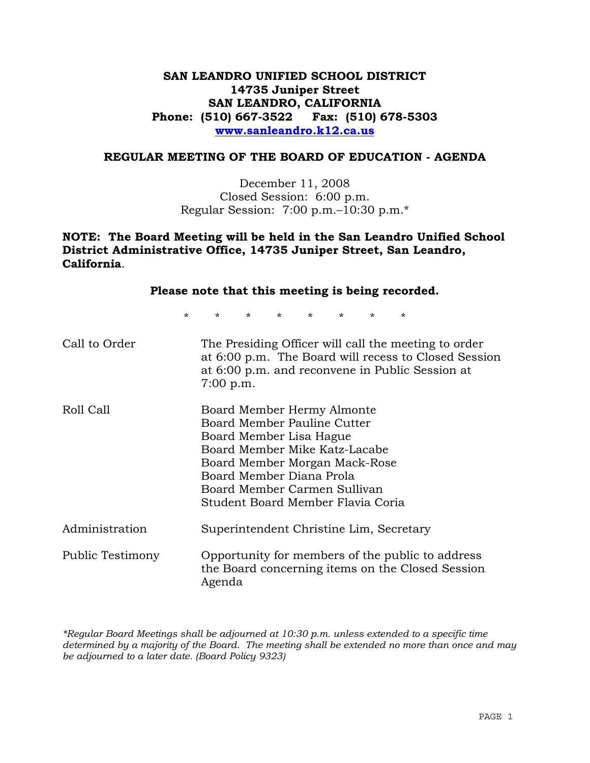## **SAN LEANDRO UNIFIED SCHOOL DISTRICT 14735 Juniper Street SAN LEANDRO, CALIFORNIA Phone: (510) 667-3522 Fax: (510) 678-5303 www.sanleandro.k12.ca.us**

#### **REGULAR MEETING OF THE BOARD OF EDUCATION - AGENDA**

December 11, 2008 Closed Session: 6:00 p.m. Regular Session: 7:00 p.m.–10:30 p.m.\*

## **NOTE: The Board Meeting will be held in the San Leandro Unified School District Administrative Office, 14735 Juniper Street, San Leandro, California**.

|                  |         |                                                                                                                                                                                                                                                         |                |         |         |         |         | Please note that this meeting is being recorded.                                                        |                                                      |
|------------------|---------|---------------------------------------------------------------------------------------------------------------------------------------------------------------------------------------------------------------------------------------------------------|----------------|---------|---------|---------|---------|---------------------------------------------------------------------------------------------------------|------------------------------------------------------|
|                  | $\star$ | $\star$                                                                                                                                                                                                                                                 | $\star$ $\sim$ | $\star$ | $\star$ | $\star$ | $\star$ | $\star$                                                                                                 |                                                      |
| Call to Order    |         | $7:00$ p.m.                                                                                                                                                                                                                                             |                |         |         |         |         | The Presiding Officer will call the meeting to order<br>at 6:00 p.m. and reconvene in Public Session at | at 6:00 p.m. The Board will recess to Closed Session |
| Roll Call        |         | Board Member Hermy Almonte<br>Board Member Pauline Cutter<br>Board Member Lisa Hague<br>Board Member Mike Katz-Lacabe<br>Board Member Morgan Mack-Rose<br>Board Member Diana Prola<br>Board Member Carmen Sullivan<br>Student Board Member Flavia Coria |                |         |         |         |         |                                                                                                         |                                                      |
| Administration   |         |                                                                                                                                                                                                                                                         |                |         |         |         |         | Superintendent Christine Lim, Secretary                                                                 |                                                      |
| Public Testimony |         | Agenda                                                                                                                                                                                                                                                  |                |         |         |         |         | Opportunity for members of the public to address<br>the Board concerning items on the Closed Session    |                                                      |

*\*Regular Board Meetings shall be adjourned at 10:30 p.m. unless extended to a specific time determined by a majority of the Board. The meeting shall be extended no more than once and may be adjourned to a later date. (Board Policy 9323)*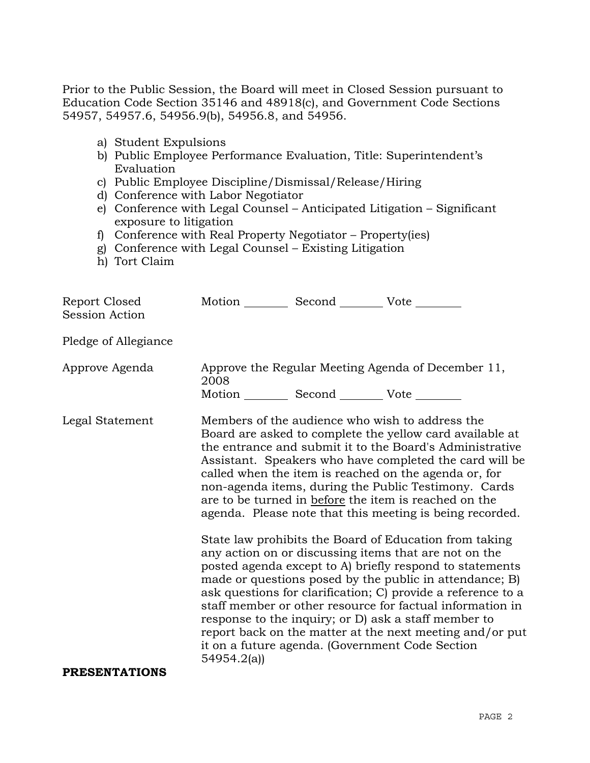Prior to the Public Session, the Board will meet in Closed Session pursuant to Education Code Section 35146 and 48918(c), and Government Code Sections 54957, 54957.6, 54956.9(b), 54956.8, and 54956.

- a) Student Expulsions
- b) Public Employee Performance Evaluation, Title: Superintendent's Evaluation
- c) Public Employee Discipline/Dismissal/Release/Hiring
- d) Conference with Labor Negotiator
- e) Conference with Legal Counsel Anticipated Litigation Significant exposure to litigation
- f) Conference with Real Property Negotiator Property(ies)
- g) Conference with Legal Counsel Existing Litigation
- h) Tort Claim

| Report Closed<br><b>Session Action</b> |            | Motion __________ Second __________ Vote ________ |                                                                                                                                                                                                                                                                                                                                                                                                                                                                                                                                                                                                                                                                                                                                                                                                                                                                                                                                                                                                                        |
|----------------------------------------|------------|---------------------------------------------------|------------------------------------------------------------------------------------------------------------------------------------------------------------------------------------------------------------------------------------------------------------------------------------------------------------------------------------------------------------------------------------------------------------------------------------------------------------------------------------------------------------------------------------------------------------------------------------------------------------------------------------------------------------------------------------------------------------------------------------------------------------------------------------------------------------------------------------------------------------------------------------------------------------------------------------------------------------------------------------------------------------------------|
| Pledge of Allegiance                   |            |                                                   |                                                                                                                                                                                                                                                                                                                                                                                                                                                                                                                                                                                                                                                                                                                                                                                                                                                                                                                                                                                                                        |
| Approve Agenda                         | 2008       | Motion __________ Second __________ Vote ________ | Approve the Regular Meeting Agenda of December 11,                                                                                                                                                                                                                                                                                                                                                                                                                                                                                                                                                                                                                                                                                                                                                                                                                                                                                                                                                                     |
| Legal Statement                        | 54954.2(a) |                                                   | Members of the audience who wish to address the<br>Board are asked to complete the yellow card available at<br>the entrance and submit it to the Board's Administrative<br>Assistant. Speakers who have completed the card will be<br>called when the item is reached on the agenda or, for<br>non-agenda items, during the Public Testimony. Cards<br>are to be turned in before the item is reached on the<br>agenda. Please note that this meeting is being recorded.<br>State law prohibits the Board of Education from taking<br>any action on or discussing items that are not on the<br>posted agenda except to A) briefly respond to statements<br>made or questions posed by the public in attendance; B)<br>ask questions for clarification; C) provide a reference to a<br>staff member or other resource for factual information in<br>response to the inquiry; or D) ask a staff member to<br>report back on the matter at the next meeting and/or put<br>it on a future agenda. (Government Code Section |
| <b>PRESENTATIONS</b>                   |            |                                                   |                                                                                                                                                                                                                                                                                                                                                                                                                                                                                                                                                                                                                                                                                                                                                                                                                                                                                                                                                                                                                        |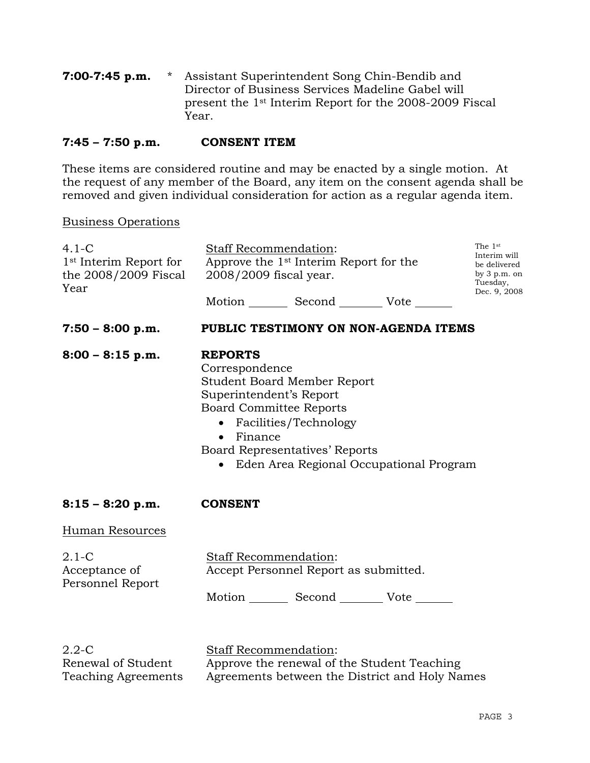**7:00-7:45 p.m.** \* Assistant Superintendent Song Chin-Bendib and Director of Business Services Madeline Gabel will present the 1st Interim Report for the 2008-2009 Fiscal Year.

### **7:45 – 7:50 p.m. CONSENT ITEM**

These items are considered routine and may be enacted by a single motion. At the request of any member of the Board, any item on the consent agenda shall be removed and given individual consideration for action as a regular agenda item.

#### Business Operations

| $4.1-C$<br>1 <sup>st</sup> Interim Report for<br>the 2008/2009 Fiscal<br>Year | Staff Recommendation:<br>Approve the 1 <sup>st</sup> Interim Report for the<br>2008/2009 fiscal year.                                                                                                                                                              | The 1st<br>Interim will<br>be delivered<br>by $3 p.m.$ on<br>Tuesday,<br>Dec. 9, 2008 |  |  |  |  |
|-------------------------------------------------------------------------------|--------------------------------------------------------------------------------------------------------------------------------------------------------------------------------------------------------------------------------------------------------------------|---------------------------------------------------------------------------------------|--|--|--|--|
|                                                                               | Motion _________ Second _________ Vote _______                                                                                                                                                                                                                     |                                                                                       |  |  |  |  |
| $7:50 - 8:00 p.m.$                                                            | PUBLIC TESTIMONY ON NON-AGENDA ITEMS                                                                                                                                                                                                                               |                                                                                       |  |  |  |  |
| $8:00 - 8:15$ p.m.                                                            | <b>REPORTS</b><br>Correspondence<br><b>Student Board Member Report</b><br>Superintendent's Report<br><b>Board Committee Reports</b><br>• Facilities/Technology<br>$\bullet$ Finance<br>Board Representatives' Reports<br>• Eden Area Regional Occupational Program |                                                                                       |  |  |  |  |
| $8:15 - 8:20$ p.m.                                                            | <b>CONSENT</b>                                                                                                                                                                                                                                                     |                                                                                       |  |  |  |  |
| Human Resources                                                               |                                                                                                                                                                                                                                                                    |                                                                                       |  |  |  |  |
| $2.1-C$<br>Acceptance of<br>Personnel Report                                  | Staff Recommendation:<br>Accept Personnel Report as submitted.                                                                                                                                                                                                     |                                                                                       |  |  |  |  |
|                                                                               | Motion Second Vote                                                                                                                                                                                                                                                 |                                                                                       |  |  |  |  |
| 2.2C                                                                          | Staff Recommendation:                                                                                                                                                                                                                                              |                                                                                       |  |  |  |  |

2.2-C Renewal of Student Teaching Agreements

<u>Stail Recommendation</u>: Approve the renewal of the Student Teaching Agreements between the District and Holy Names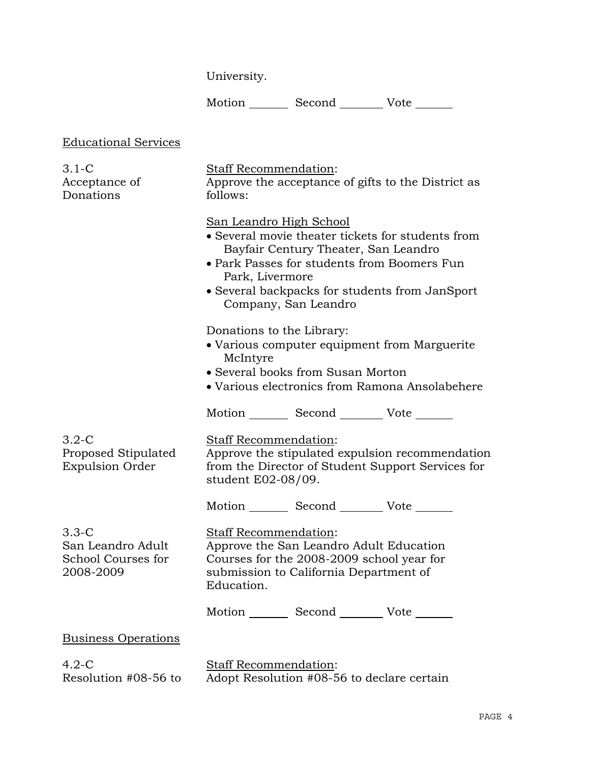University.

Motion \_\_\_\_\_\_\_\_ Second \_\_\_\_\_\_\_\_\_ Vote \_\_\_\_\_\_\_

# Educational Services

| $3.1-C$<br>Acceptance of<br>Donations                             | Staff Recommendation:<br>Approve the acceptance of gifts to the District as<br>follows:                                                                                                                                                                          |  |  |  |  |
|-------------------------------------------------------------------|------------------------------------------------------------------------------------------------------------------------------------------------------------------------------------------------------------------------------------------------------------------|--|--|--|--|
|                                                                   | San Leandro High School<br>• Several movie theater tickets for students from<br>Bayfair Century Theater, San Leandro<br>• Park Passes for students from Boomers Fun<br>Park, Livermore<br>• Several backpacks for students from JanSport<br>Company, San Leandro |  |  |  |  |
|                                                                   | Donations to the Library:<br>• Various computer equipment from Marguerite<br>McIntyre<br>• Several books from Susan Morton<br>• Various electronics from Ramona Ansolabehere                                                                                     |  |  |  |  |
|                                                                   | Motion _________ Second __________ Vote _______                                                                                                                                                                                                                  |  |  |  |  |
| $3.2-C$<br>Proposed Stipulated<br><b>Expulsion Order</b>          | Staff Recommendation:<br>Approve the stipulated expulsion recommendation<br>from the Director of Student Support Services for<br>student E02-08/09.                                                                                                              |  |  |  |  |
|                                                                   | Motion _________ Second __________ Vote _______                                                                                                                                                                                                                  |  |  |  |  |
| $3.3 - C$<br>San Leandro Adult<br>School Courses for<br>2008-2009 | Staff Recommendation:<br>Approve the San Leandro Adult Education<br>Courses for the 2008-2009 school year for<br>submission to California Department of<br>Education.                                                                                            |  |  |  |  |
|                                                                   | Motion _________ Second __________ Vote _______                                                                                                                                                                                                                  |  |  |  |  |
| <b>Business Operations</b>                                        |                                                                                                                                                                                                                                                                  |  |  |  |  |
| $4.2-C$<br>Resolution #08-56 to                                   | Staff Recommendation:<br>Adopt Resolution #08-56 to declare certain                                                                                                                                                                                              |  |  |  |  |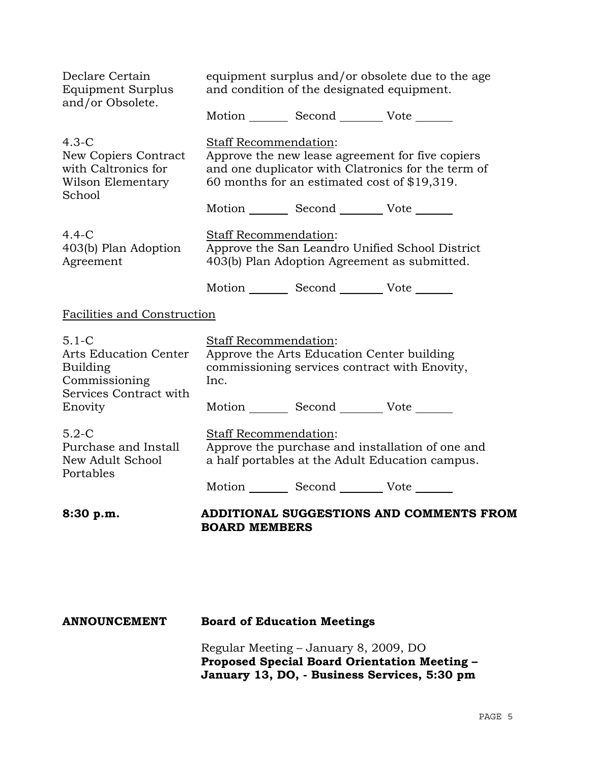| Declare Certain<br><b>Equipment Surplus</b><br>and/or Obsolete.                                             | equipment surplus and/or obsolete due to the age<br>and condition of the designated equipment.                                                                                  |  |                                                                                                                              |  |  |  |
|-------------------------------------------------------------------------------------------------------------|---------------------------------------------------------------------------------------------------------------------------------------------------------------------------------|--|------------------------------------------------------------------------------------------------------------------------------|--|--|--|
|                                                                                                             |                                                                                                                                                                                 |  | Motion Second Vote                                                                                                           |  |  |  |
| $4.3-C$<br>New Copiers Contract<br>with Caltronics for<br>Wilson Elementary<br>School                       | Staff Recommendation:<br>Approve the new lease agreement for five copiers<br>and one duplicator with Clatronics for the term of<br>60 months for an estimated cost of \$19,319. |  |                                                                                                                              |  |  |  |
| $4.4-C$<br>403(b) Plan Adoption<br>Agreement                                                                | Staff Recommendation:                                                                                                                                                           |  | Motion Second Vote ______<br>Approve the San Leandro Unified School District<br>403(b) Plan Adoption Agreement as submitted. |  |  |  |
|                                                                                                             |                                                                                                                                                                                 |  | Motion _________ Second __________ Vote _______                                                                              |  |  |  |
| <b>Facilities and Construction</b>                                                                          |                                                                                                                                                                                 |  |                                                                                                                              |  |  |  |
| $5.1 - C$<br><b>Arts Education Center</b><br>Building<br>Commissioning<br>Services Contract with<br>Enovity | Staff Recommendation:<br>Approve the Arts Education Center building<br>commissioning services contract with Enovity,<br>Inc.                                                    |  |                                                                                                                              |  |  |  |
|                                                                                                             |                                                                                                                                                                                 |  | Motion _________ Second __________ Vote _______                                                                              |  |  |  |
| $5.2-C$<br>Purchase and Install<br>New Adult School<br>Portables                                            | Staff Recommendation:<br>Approve the purchase and installation of one and<br>a half portables at the Adult Education campus.                                                    |  |                                                                                                                              |  |  |  |
|                                                                                                             |                                                                                                                                                                                 |  | Motion _________ Second __________ Vote _                                                                                    |  |  |  |
| 8:30 p.m.                                                                                                   | <b>BOARD MEMBERS</b>                                                                                                                                                            |  | ADDITIONAL SUGGESTIONS AND COMMENTS FROM                                                                                     |  |  |  |

# **ANNOUNCEMENT Board of Education Meetings**

Regular Meeting – January 8, 2009, DO **Proposed Special Board Orientation Meeting – January 13, DO, - Business Services, 5:30 pm**